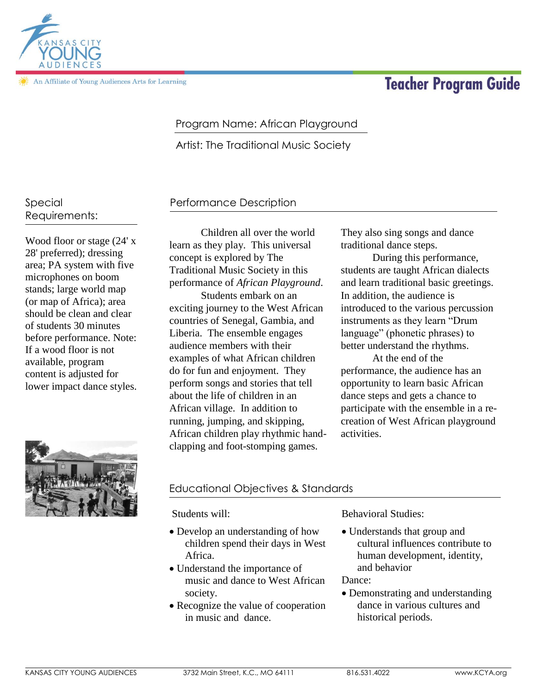KANSAS CITY YOUNG AUDIENCES 3732 Main Street, K.C., MO 64111 816.531.4022 www.KCYA.org

# **Teacher Program Guide**

# Program Name: African Playground

Artist: The Traditional Music Society

#### Special Requirements:

An Affiliate of Young Audiences Arts for Learning

Wood floor or stage (24' x 28' preferred); dressing area; PA system with five microphones on boom stands; large world map (or map of Africa); area should be clean and clear of students 30 minutes before performance. Note: If a wood floor is not available, program content is adjusted for lower impact dance styles.

Children all over the world learn as they play. This universal concept is explored by The Traditional Music Society in this performance of *African Playground*.

Performance Description

Students embark on an exciting journey to the West African countries of Senegal, Gambia, and Liberia. The ensemble engages audience members with their examples of what African children do for fun and enjoyment. They perform songs and stories that tell about the life of children in an African village. In addition to running, jumping, and skipping, African children play rhythmic handclapping and foot-stomping games.

They also sing songs and dance traditional dance steps.

During this performance, students are taught African dialects and learn traditional basic greetings. In addition, the audience is introduced to the various percussion instruments as they learn "Drum language" (phonetic phrases) to better understand the rhythms.

At the end of the performance, the audience has an opportunity to learn basic African dance steps and gets a chance to participate with the ensemble in a recreation of West African playground activities.

# Educational Objectives & Standards

Students will:

- Develop an understanding of how children spend their days in West Africa.
- Understand the importance of music and dance to West African society.
- Recognize the value of cooperation in music and dance.

Behavioral Studies:

 Understands that group and cultural influences contribute to human development, identity, and behavior

Dance:

 Demonstrating and understanding dance in various cultures and historical periods.